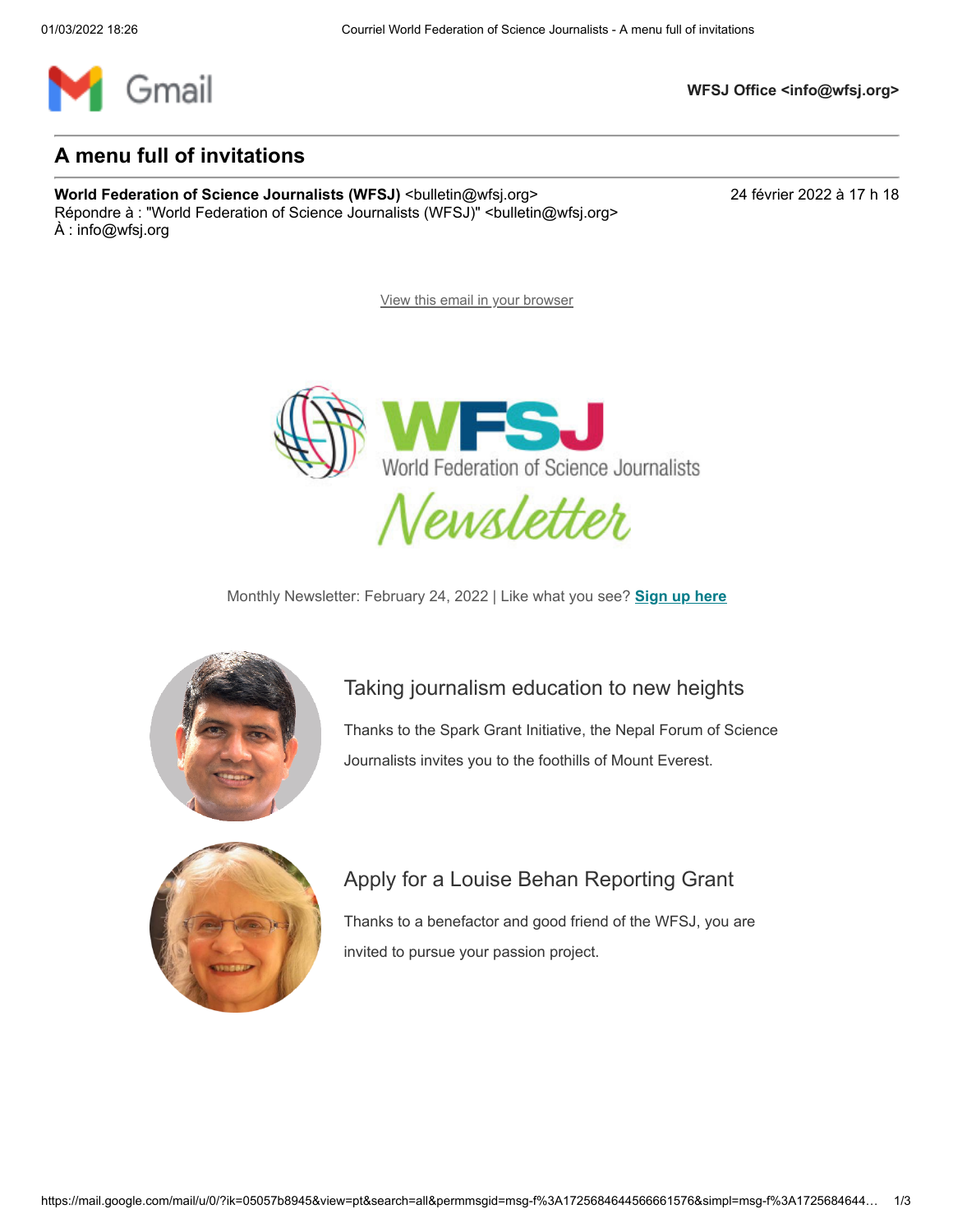

**WFSJ Office <info@wfsj.org>**

#### **A menu full of invitations**

**World Federation of Science Journalists (WFSJ)** <bulletin@wfsj.org> 24 février 2022 à 17 h 18 Répondre à : "World Federation of Science Journalists (WFSJ)" <br/>bulletin@wfsj.org> À : info@wfsj.org

[View this email in your browser](https://mailchi.mp/wfsj/a-menu-full-of-invitations?e=5575ecfde9)



Monthly Newsletter: February 24, 2022 | Like what you see? **[Sign up here](https://wfsj.us2.list-manage.com/track/click?u=a8d11a901ac032467f5aed649&id=d6ab098b50&e=5575ecfde9)**



### [Taking journalism education to new heights](https://wfsj.us2.list-manage.com/track/click?u=a8d11a901ac032467f5aed649&id=492bb2f30f&e=5575ecfde9)

[Thanks to the Spark Grant Initiative, the Nepal Forum of Science](https://wfsj.us2.list-manage.com/track/click?u=a8d11a901ac032467f5aed649&id=27ffbcac66&e=5575ecfde9) Journalists invites you to the foothills of Mount Everest.



# [Apply for a Louise Behan Reporting Grant](https://wfsj.us2.list-manage.com/track/click?u=a8d11a901ac032467f5aed649&id=b988c18f78&e=5575ecfde9)

[Thanks to a benefactor and good friend of the WFSJ, you are](https://wfsj.us2.list-manage.com/track/click?u=a8d11a901ac032467f5aed649&id=7283189f30&e=5575ecfde9) invited to pursue your passion project.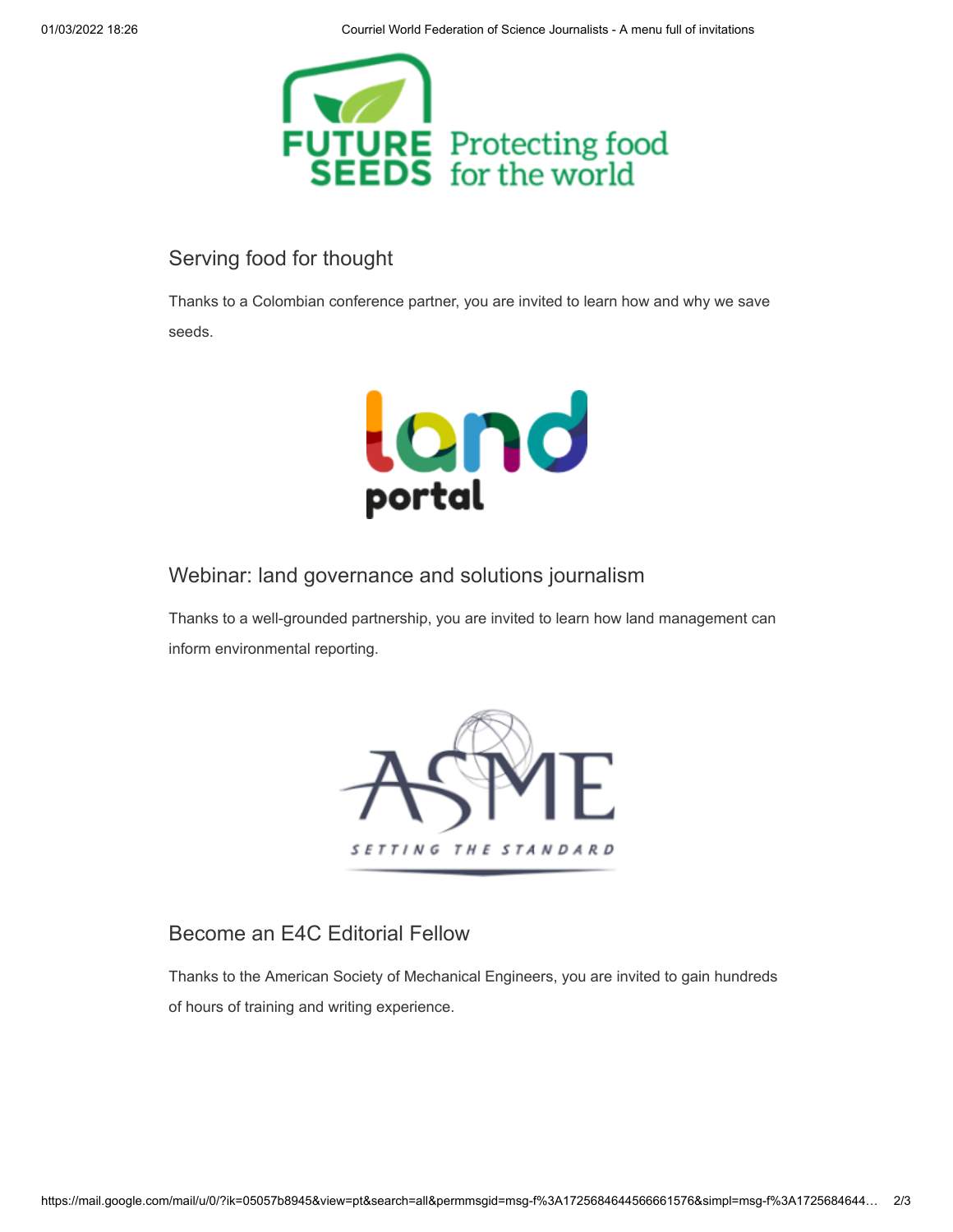

### [Serving food for thought](https://wfsj.us2.list-manage.com/track/click?u=a8d11a901ac032467f5aed649&id=3eaa8f0e77&e=5575ecfde9)

[Thanks to a Colombian conference partner, you are invited to learn how and why we save](https://wfsj.us2.list-manage.com/track/click?u=a8d11a901ac032467f5aed649&id=7ec5f4e1e9&e=5575ecfde9) seeds.



[Webinar: land governance and solutions journalism](https://wfsj.us2.list-manage.com/track/click?u=a8d11a901ac032467f5aed649&id=6e8c818bdf&e=5575ecfde9)

[Thanks to a well-grounded partnership, you are invited to learn how land management can](https://wfsj.us2.list-manage.com/track/click?u=a8d11a901ac032467f5aed649&id=33676c9e11&e=5575ecfde9) inform environmental reporting.



# [Become an E4C Editorial Fellow](https://wfsj.us2.list-manage.com/track/click?u=a8d11a901ac032467f5aed649&id=b280f05c36&e=5575ecfde9)

[Thanks to the American Society of Mechanical Engineers, you are invited to gain hundreds](https://wfsj.us2.list-manage.com/track/click?u=a8d11a901ac032467f5aed649&id=71da118a63&e=5575ecfde9) of hours of training and writing experience.